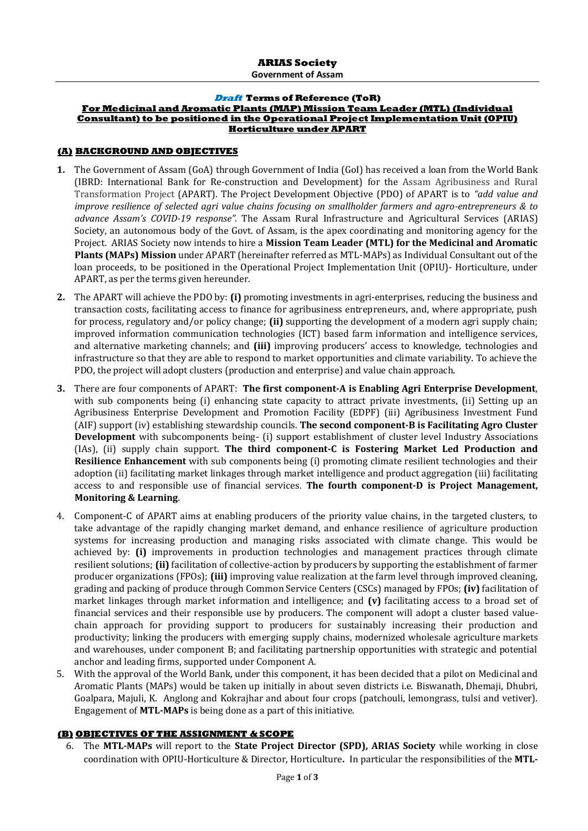**Government of Assam**

#### **Draft Terms of Reference (ToR) For Medicinal and Aromatic Plants (MAP) Mission Team Leader (MTL) (Individual Consultant) to be positioned in the Operational Project Implementation Unit (OPIU) Horticulture under APART**

### **(A) BACKGROUND AND OBJECTIVES**

- **1.** The Government of Assam (GoA) through Government of India (GoI) has received a loan from the World Bank (IBRD: International Bank for Re-construction and Development) for the Assam Agribusiness and Rural Transformation Project (APART). The Project Development Objective (PDO) of APART is to *"add value and improve resilience of selected agri value chains focusing on smallholder farmers and agro-entrepreneurs & to advance Assam's COVID-19 response".* The Assam Rural Infrastructure and Agricultural Services (ARIAS) Society, an autonomous body of the Govt. of Assam, is the apex coordinating and monitoring agency for the Project. ARIAS Society now intends to hire a **Mission Team Leader (MTL) for the Medicinal and Aromatic Plants (MAPs) Mission** under APART (hereinafter referred as MTL-MAPs) as Individual Consultant out of the loan proceeds, to be positioned in the Operational Project Implementation Unit (OPIU)- Horticulture, under APART, as per the terms given hereunder.
- **2.** The APART will achieve the PDO by: **(i)** promoting investments in agri-enterprises, reducing the business and transaction costs, facilitating access to finance for agribusiness entrepreneurs, and, where appropriate, push for process, regulatory and/or policy change; **(ii)** supporting the development of a modern agri supply chain; improved information communication technologies (ICT) based farm information and intelligence services, and alternative marketing channels; and **(iii)** improving producers' access to knowledge, technologies and infrastructure so that they are able to respond to market opportunities and climate variability. To achieve the PDO, the project will adopt clusters (production and enterprise) and value chain approach.
- **3.** There are four components of APART: **The first component-A is Enabling Agri Enterprise Development**, with sub components being (i) enhancing state capacity to attract private investments, (ii) Setting up an Agribusiness Enterprise Development and Promotion Facility (EDPF) (iii) Agribusiness Investment Fund (AIF) support (iv) establishing stewardship councils. **The second component-B is Facilitating Agro Cluster Development** with subcomponents being- (i) support establishment of cluster level Industry Associations (IAs), (ii) supply chain support. **The third component-C is Fostering Market Led Production and Resilience Enhancement** with sub components being (i) promoting climate resilient technologies and their adoption (ii) facilitating market linkages through market intelligence and product aggregation (iii) facilitating access to and responsible use of financial services. **The fourth component-D is Project Management, Monitoring & Learning**.
- 4. Component-C of APART aims at enabling producers of the priority value chains, in the targeted clusters, to take advantage of the rapidly changing market demand, and enhance resilience of agriculture production systems for increasing production and managing risks associated with climate change. This would be achieved by: **(i)** improvements in production technologies and management practices through climate resilient solutions; **(ii)** facilitation of collective-action by producers by supporting the establishment of farmer producer organizations (FPOs); **(iii)** improving value realization at the farm level through improved cleaning, grading and packing of produce through Common Service Centers (CSCs) managed by FPOs; **(iv)** facilitation of market linkages through market information and intelligence; and **(v)** facilitating access to a broad set of financial services and their responsible use by producers. The component will adopt a cluster based valuechain approach for providing support to producers for sustainably increasing their production and productivity; linking the producers with emerging supply chains, modernized wholesale agriculture markets and warehouses, under component B; and facilitating partnership opportunities with strategic and potential anchor and leading firms, supported under Component A.
- 5. With the approval of the World Bank, under this component, it has been decided that a pilot on Medicinal and Aromatic Plants (MAPs) would be taken up initially in about seven districts i.e. Biswanath, Dhemaji, Dhubri, Goalpara, Majuli, K. Anglong and Kokrajhar and about four crops (patchouli, lemongrass, tulsi and vetiver). Engagement of **MTL-MAPs** is being done as a part of this initiative.

# **(B) OBJECTIVES OF THE ASSIGNMENT & SCOPE**

6. The **MTL-MAPs** will report to the **State Project Director (SPD), ARIAS Society** while working in close coordination with OPIU-Horticulture & Director, Horticulture**.** In particular the responsibilities of the **MTL-**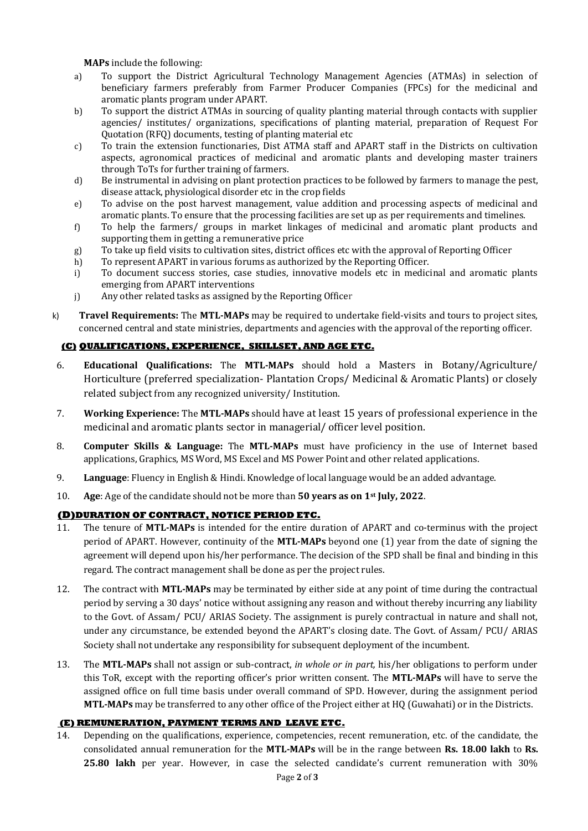**MAPs** include the following:

- a) To support the District Agricultural Technology Management Agencies (ATMAs) in selection of beneficiary farmers preferably from Farmer Producer Companies (FPCs) for the medicinal and aromatic plants program under APART.
- b) To support the district ATMAs in sourcing of quality planting material through contacts with supplier agencies/ institutes/ organizations, specifications of planting material, preparation of Request For Quotation (RFQ) documents, testing of planting material etc
- c) To train the extension functionaries, Dist ATMA staff and APART staff in the Districts on cultivation aspects, agronomical practices of medicinal and aromatic plants and developing master trainers through ToTs for further training of farmers.
- d) Be instrumental in advising on plant protection practices to be followed by farmers to manage the pest, disease attack, physiological disorder etc in the crop fields
- e) To advise on the post harvest management, value addition and processing aspects of medicinal and aromatic plants. To ensure that the processing facilities are set up as per requirements and timelines.
- f) To help the farmers/ groups in market linkages of medicinal and aromatic plant products and supporting them in getting a remunerative price
- g) To take up field visits to cultivation sites, district offices etc with the approval of Reporting Officer
- h) To represent APART in various forums as authorized by the Reporting Officer.
- i) To document success stories, case studies, innovative models etc in medicinal and aromatic plants emerging from APART interventions
- j) Any other related tasks as assigned by the Reporting Officer
- k) **Travel Requirements:** The **MTL-MAPs** may be required to undertake field-visits and tours to project sites, concerned central and state ministries, departments and agencies with the approval of the reporting officer.

# **(C) QUALIFICATIONS, EXPERIENCE, SKILLSET, AND AGE ETC.**

- 6. **Educational Qualifications:** The **MTL-MAPs** should hold a Masters in Botany/Agriculture/ Horticulture (preferred specialization- Plantation Crops/ Medicinal & Aromatic Plants) or closely related subject from any recognized university/ Institution.
- 7. **Working Experience:** The **MTL-MAPs** should have at least 15 years of professional experience in the medicinal and aromatic plants sector in managerial/ officer level position.
- 8. **Computer Skills & Language:** The **MTL-MAPs** must have proficiency in the use of Internet based applications, Graphics, MS Word, MS Excel and MS Power Point and other related applications.
- 9. **Language**: Fluency in English & Hindi. Knowledge of local language would be an added advantage.
- 10. **Age**: Age of the candidate should not be more than **50 years as on 1st July, 2022**.

### **(D)DURATION OF CONTRACT, NOTICE PERIOD ETC.**

- 11. The tenure of **MTL-MAPs** is intended for the entire duration of APART and co-terminus with the project period of APART. However, continuity of the **MTL-MAPs** beyond one (1) year from the date of signing the agreement will depend upon his/her performance. The decision of the SPD shall be final and binding in this regard. The contract management shall be done as per the project rules.
- 12. The contract with **MTL-MAPs** may be terminated by either side at any point of time during the contractual period by serving a 30 days' notice without assigning any reason and without thereby incurring any liability to the Govt. of Assam/ PCU/ ARIAS Society. The assignment is purely contractual in nature and shall not, under any circumstance, be extended beyond the APART's closing date. The Govt. of Assam/ PCU/ ARIAS Society shall not undertake any responsibility for subsequent deployment of the incumbent.
- 13. The **MTL-MAPs** shall not assign or sub-contract, *in whole or in part,* his/her obligations to perform under this ToR, except with the reporting officer's prior written consent. The **MTL-MAPs** will have to serve the assigned office on full time basis under overall command of SPD. However, during the assignment period **MTL-MAPs** may be transferred to any other office of the Project either at HQ (Guwahati) or in the Districts.

### **(E) REMUNERATION, PAYMENT TERMS AND LEAVE ETC.**

14. Depending on the qualifications, experience, competencies, recent remuneration, etc. of the candidate, the consolidated annual remuneration for the **MTL-MAPs** will be in the range between **Rs. 18.00 lakh** to **Rs. 25.80 lakh** per year. However, in case the selected candidate's current remuneration with 30%